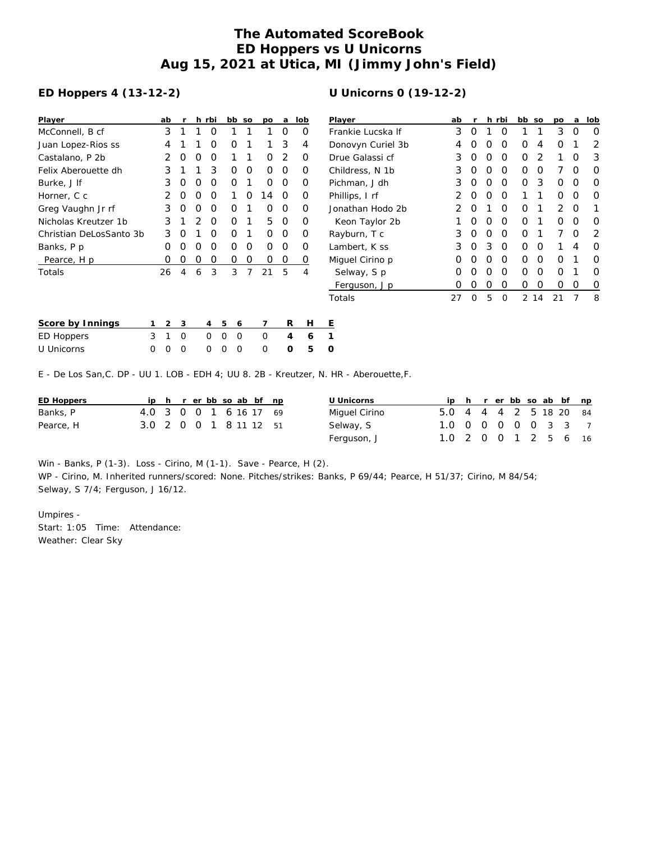## **The Automated ScoreBook ED Hoppers vs U Unicorns Aug 15, 2021 at Utica, MI (Jimmy John's Field)**

## **ED Hoppers 4 (13-12-2)**

| Player                  | ab               | r                |                  | h rbi            | bb               | <b>SO</b> | po | a | lob              |
|-------------------------|------------------|------------------|------------------|------------------|------------------|-----------|----|---|------------------|
| McConnell, B cf         | 3                | 1                | 1                | Ω                | 1                | 1         | 1  | Ω | O                |
| Juan Lopez-Rios ss      | 4                | 1                | 1                | Ω                | $\left($         | 1         | 1  | 3 |                  |
| Castalano, P 2b         | 2                | $\left( \right)$ | 0                | $\left( \right)$ | 1                |           | Ω  | 2 |                  |
| Felix Aberouette dh     | 3                | 1                | 1                | 3                | Ω                | Ω         | ∩  | Ω | Ω                |
| Burke, J If             | 3                | Ω                | $\left( \right)$ | Ω                | Ω                | 1         | Ω  | Ω | $\left( \right)$ |
| Horner, C c             |                  | Ω                | Ω                | Ω                | 1                | Ω         | 14 | Ω | O                |
| Greg Vaughn Jr rf       | 3                | $\left( \right)$ | $\left( \right)$ | $\left( \right)$ | $\left( \right)$ |           | Ω  | Ω | Ω                |
| Nicholas Kreutzer 1b    | 3                | 1                | 2                | ∩                | ∩                | 1         | 5  | Ω | O                |
| Christian DeLosSanto 3b | 3                | O                | 1                | ∩                | ∩                | 1         | ∩  | Ω | $\left( \right)$ |
| Banks, P p              | 0                | $\left( \right)$ | 0                | Ω                | Ω                | Ω         | Ω  | Ω | O                |
| Pearce, H p             | $\left( \right)$ | 0                | 0                | $\left( \right)$ | $\left( \right)$ | Ω         | Ω  | O |                  |
| Totals                  | 26               | 4                | 6                | 3                | 3                |           | 21 | 5 | 4                |
|                         |                  |                  |                  |                  |                  |           |    |   |                  |

| Player            | ab | r |   | h rbi    | bb | SO | po | a | lob |
|-------------------|----|---|---|----------|----|----|----|---|-----|
| Frankie Lucska If | 3  | O | 1 | Ω        | 1  | 1  | 3  | O | O   |
| Donovyn Curiel 3b | 4  | O | O | O        | O  | 4  | Ο  | 1 | 2   |
| Drue Galassi cf   | 3  | O | Ο | O        | O  | 2  | 1  | O | 3   |
| Childress, N 1b   | 3  | O | Ο | O        | O  | Ο  | 7  | O | O   |
| Pichman, J dh     | 3  | Ο | Ο | O        | Ο  | 3  | Ο  | O | Ο   |
| Phillips, I rf    | 2  | O | Ω | O        | 1  | 1  | Ω  | O | Ω   |
| Jonathan Hodo 2b  | 2  | O | 1 | Ω        | O  | 1  | 2  | O | 1   |
| Keon Taylor 2b    | 1  | O | Ο | Ω        | 0  | 1  | Ω  | O | Ω   |
| Rayburn, T c      | 3  | O | Ο | O        | O  | 1  | 7  | O | 2   |
| Lambert, K ss     | 3  | O | 3 | $\Omega$ | O  | 0  | 1  | 4 | Ω   |
| Miguel Cirino p   | Ο  | O | Ο | O        | O  | Ο  | Ο  | 1 | Ω   |
| Selway, S p       | Ω  | Ω | 0 | $\Omega$ | O  | 0  | O  | 1 | Ω   |
| Ferguson, J p     | Ω  | Ω | 0 | Ο        | Ω  | 0  | Ω  | O | O   |
| Totals            | 27 | Ω | 5 | O        | 2  | 14 | 21 | 7 | 8   |

| Score by Innings |  | 1 2 3 |  | 4 5 6 |                     | H E |  |
|------------------|--|-------|--|-------|---------------------|-----|--|
| ED Hoppers       |  |       |  |       | 3 1 0 0 0 0 0 4     | 6 1 |  |
| U Unicorns       |  |       |  |       | 0 0 0 0 0 0 0 0 5 0 |     |  |

E - De Los San,C. DP - UU 1. LOB - EDH 4; UU 8. 2B - Kreutzer, N. HR - Aberouette,F.

| ED Hoppers |                        |  |  |  | ip h r erbb so ab bf np |  | U Unicorns    |                        |  |  |  | ip h r er bb so ab bf np |  |
|------------|------------------------|--|--|--|-------------------------|--|---------------|------------------------|--|--|--|--------------------------|--|
| Banks, P   | 4.0 3 0 0 1 6 16 17 69 |  |  |  |                         |  | Miguel Cirino | 5.0 4 4 4 2 5 18 20 84 |  |  |  |                          |  |
| Pearce, H  | 3.0 2 0 0 1 8 11 12 51 |  |  |  |                         |  | Selway, S     | 1.0 0 0 0 0 0 3 3 7    |  |  |  |                          |  |
|            |                        |  |  |  |                         |  | Ferguson, J   | 1.0 2 0 0 1 2 5 6 16   |  |  |  |                          |  |

Win - Banks, P (1-3). Loss - Cirino, M (1-1). Save - Pearce, H (2). WP - Cirino, M. Inherited runners/scored: None. Pitches/strikes: Banks, P 69/44; Pearce, H 51/37; Cirino, M 84/54; Selway, S 7/4; Ferguson, J 16/12.

Umpires - Start: 1:05 Time: Attendance: Weather: Clear Sky

## **U Unicorns 0 (19-12-2)**